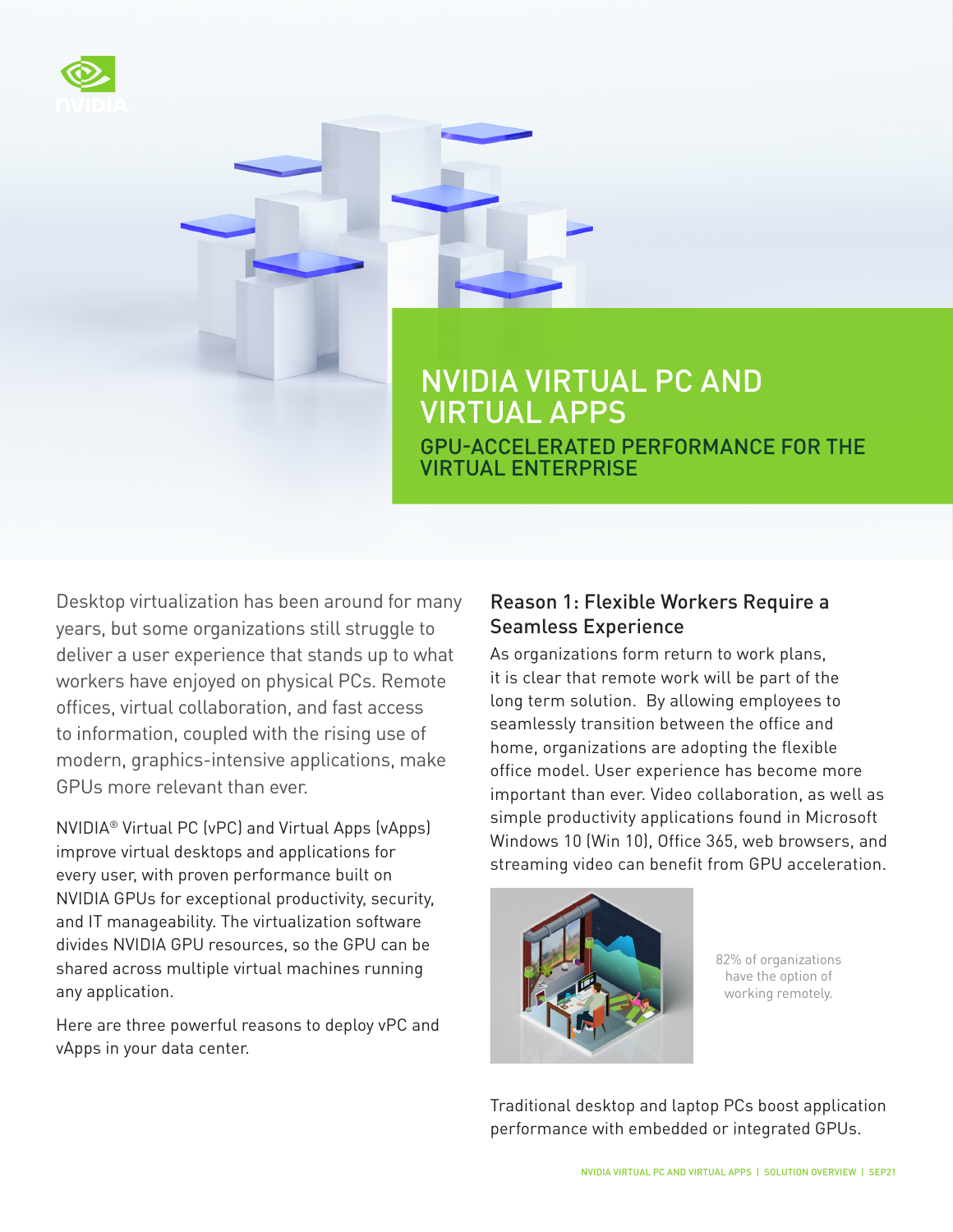

# NVIDIA VIRTUAL PC AND VIRTUAL APPS GPU-ACCELERATED PERFORMANCE FOR THE VIRTUAL ENTERPRISE

Desktop virtualization has been around for many years, but some organizations still struggle to deliver a user experience that stands up to what workers have enjoyed on physical PCs. Remote offices, virtual collaboration, and fast access to information, coupled with the rising use of modern, graphics-intensive applications, make GPUs more relevant than ever.

NVIDIA® Virtual PC (vPC) and Virtual Apps (vApps) improve virtual desktops and applications for every user, with proven performance built on NVIDIA GPUs for exceptional productivity, security, and IT manageability. The virtualization software divides NVIDIA GPU resources, so the GPU can be shared across multiple virtual machines running any application.

Here are three powerful reasons to deploy vPC and vApps in your data center.

## Reason 1: Flexible Workers Require a Seamless Experience

As organizations form return to work plans, it is clear that remote work will be part of the long term solution. By allowing employees to seamlessly transition between the office and home, organizations are adopting the flexible office model. User experience has become more important than ever. Video collaboration, as well as simple productivity applications found in Microsoft Windows 10 (Win 10), Office 365, web browsers, and streaming video can benefit from GPU acceleration.



82% of organizations have the option of working remotely.

Traditional desktop and laptop PCs boost application performance with embedded or integrated GPUs.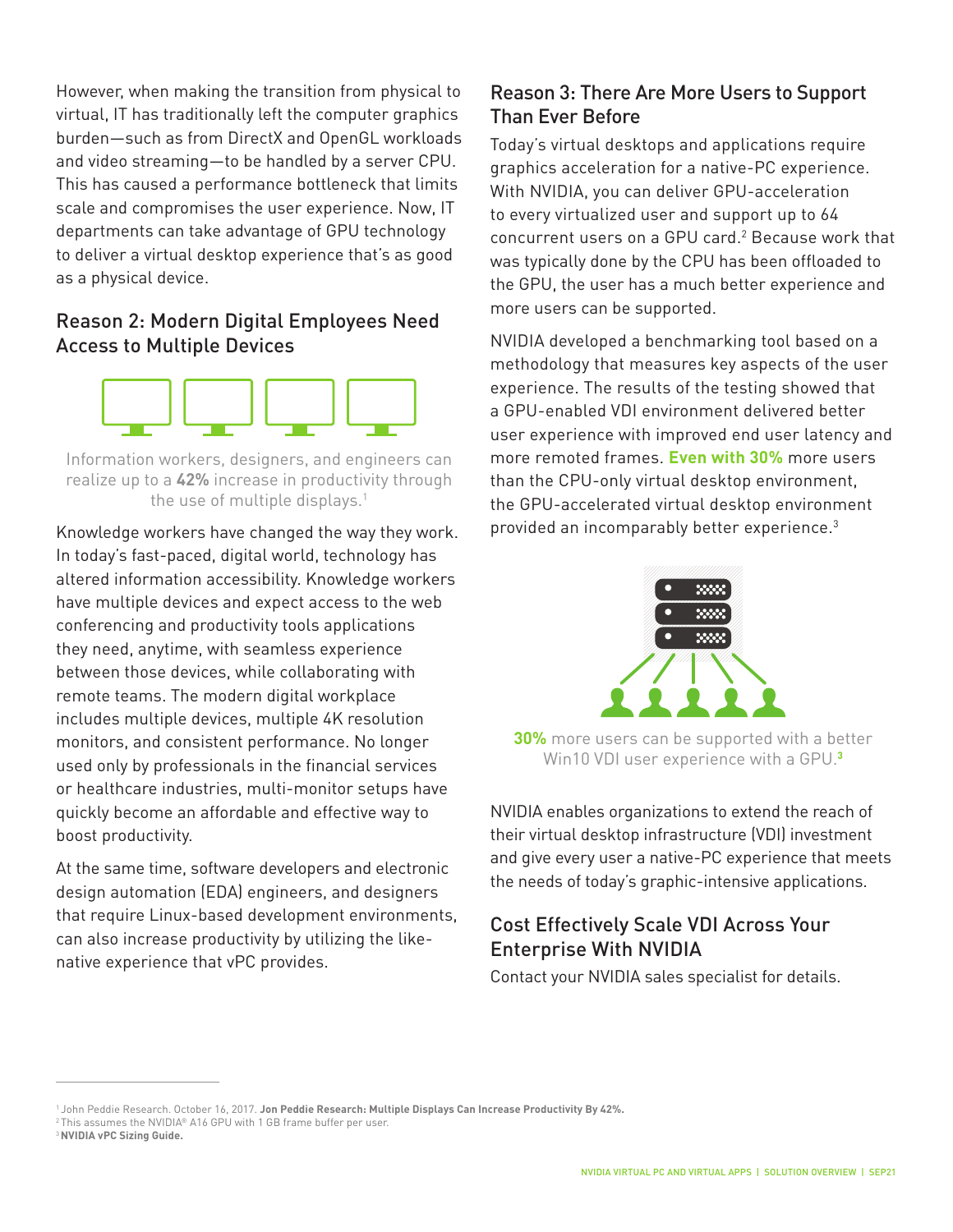However, when making the transition from physical to virtual, IT has traditionally left the computer graphics burden—such as from DirectX and OpenGL workloads and video streaming—to be handled by a server CPU. This has caused a performance bottleneck that limits scale and compromises the user experience. Now, IT departments can take advantage of GPU technology to deliver a virtual desktop experience that's as good as a physical device.

### Reason 2: Modern Digital Employees Need Access to Multiple Devices



Information workers, designers, and engineers can realize up to a **42%** increase in productivity through the use of multiple displays.<sup>1</sup>

Knowledge workers have changed the way they work. In today's fast-paced, digital world, technology has altered information accessibility. Knowledge workers have multiple devices and expect access to the web conferencing and productivity tools applications they need, anytime, with seamless experience between those devices, while collaborating with remote teams. The modern digital workplace includes multiple devices, multiple 4K resolution monitors, and consistent performance. No longer used only by professionals in the financial services or healthcare industries, multi-monitor setups have quickly become an affordable and effective way to boost productivity.

At the same time, software developers and electronic design automation (EDA) engineers, and designers that require Linux-based development environments, can also increase productivity by utilizing the likenative experience that vPC provides.

## Reason 3: There Are More Users to Support Than Ever Before

Today's virtual desktops and applications require graphics acceleration for a native-PC experience. With NVIDIA, you can deliver GPU-acceleration to every virtualized user and support up to 64 concurrent users on a GPU card.<sup>2</sup> Because work that was typically done by the CPU has been offloaded to the GPU, the user has a much better experience and more users can be supported.

NVIDIA developed a benchmarking tool based on a methodology that measures key aspects of the user experience. The results of the testing showed that a GPU-enabled VDI environment delivered better user experience with improved end user latency and more remoted frames. **Even with 30%** more users than the CPU-only virtual desktop environment, the GPU-accelerated virtual desktop environment provided an incomparably better experience.3



**30%** more users can be supported with a better Win10 VDI user experience with a GPU.**<sup>3</sup>**

NVIDIA enables organizations to extend the reach of their virtual desktop infrastructure (VDI) investment and give every user a native-PC experience that meets the needs of today's graphic-intensive applications.

## Cost Effectively Scale VDI Across Your Enterprise With NVIDIA

Contact your NVIDIA sales specialist for details.

<sup>1</sup> John Peddie Research. October 16, 2017. **Jon Peddie Research: Multiple Displays Can Increase Productivity By 42%.** 2 This assumes the NVIDIA® A16 GPU with 1 GB frame buffer per user.

<sup>3</sup>**NVIDIA vPC Sizing Guide.**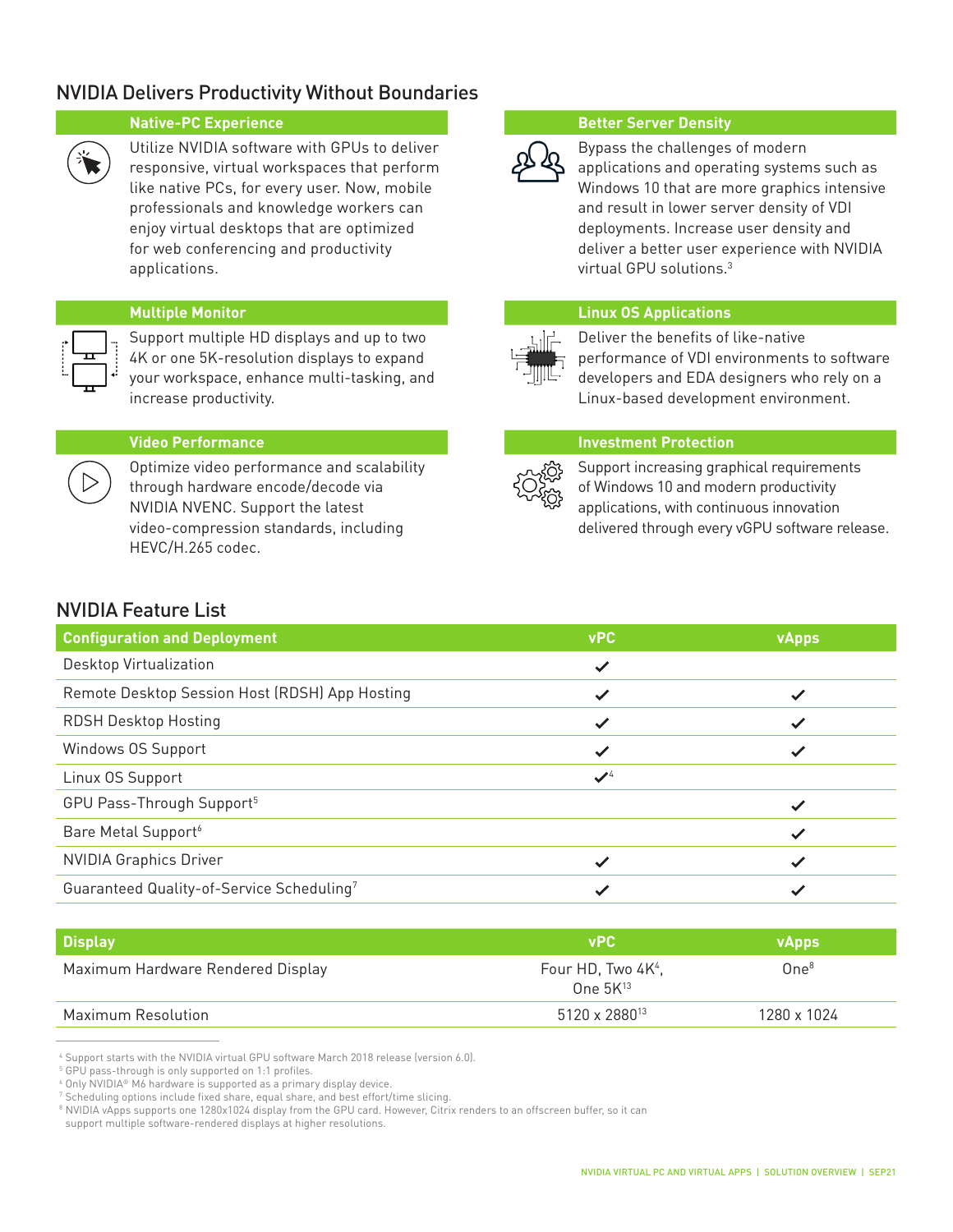### NVIDIA Delivers Productivity Without Boundaries



Utilize NVIDIA software with GPUs to deliver responsive, virtual workspaces that perform like native PCs, for every user. Now, mobile professionals and knowledge workers can enjoy virtual desktops that are optimized for web conferencing and productivity applications.

Support multiple HD displays and up to two 4K or one 5K-resolution displays to expand your workspace, enhance multi-tasking, and increase productivity.



Optimize video performance and scalability through hardware encode/decode via NVIDIA NVENC. Support the latest video-compression standards, including HEVC/H.265 codec.

### **Native-PC Experience <b>Better Server Density Better Server Density**



Bypass the challenges of modern applications and operating systems such as Windows 10 that are more graphics intensive and result in lower server density of VDI deployments. Increase user density and deliver a better user experience with NVIDIA virtual GPU solutions.3

### **Multiple Monitor Linux OS Applications**



Deliver the benefits of like-native performance of VDI environments to software developers and EDA designers who rely on a Linux-based development environment.

### **Video Performance Investment Protection**



Support increasing graphical requirements of Windows 10 and modern productivity applications, with continuous innovation delivered through every vGPU software release.

### NVIDIA Feature List

| <b>Configuration and Deployment</b>            | <b>vPC</b>      | <b>vApps</b> |
|------------------------------------------------|-----------------|--------------|
| Desktop Virtualization                         | $\checkmark$    |              |
| Remote Desktop Session Host (RDSH) App Hosting | ✓               |              |
| <b>RDSH Desktop Hosting</b>                    | $\checkmark$    |              |
| Windows OS Support                             | ✓               |              |
| Linux OS Support                               | $\mathcal{I}^4$ |              |
| GPU Pass-Through Support <sup>5</sup>          |                 |              |
| Bare Metal Support <sup>6</sup>                |                 |              |
| <b>NVIDIA Graphics Driver</b>                  |                 |              |
| Guaranteed Quality-of-Service Scheduling7      |                 |              |

| Display                           | <b>vPC</b>                                      | VApps <b>/</b>   |
|-----------------------------------|-------------------------------------------------|------------------|
| Maximum Hardware Rendered Display | Four HD, Two 4K <sup>4</sup> ,<br>One $5K^{13}$ | One <sup>8</sup> |
| Maximum Resolution                | 5120 x 2880 <sup>13</sup>                       | 1280 x 1024      |

<sup>4</sup> Support starts with the NVIDIA virtual GPU software March 2018 release (version 6.0).

<sup>5</sup> GPU pass-through is only supported on 1:1 profiles.

<sup>6</sup> Only NVIDIA® M6 hardware is supported as a primary display device.

<sup>7</sup> Scheduling options include fixed share, equal share, and best effort/time slicing.

<sup>8</sup> NVIDIA vApps supports one 1280x1024 display from the GPU card. However, Citrix renders to an offscreen buffer, so it can

support multiple software-rendered displays at higher resolutions.